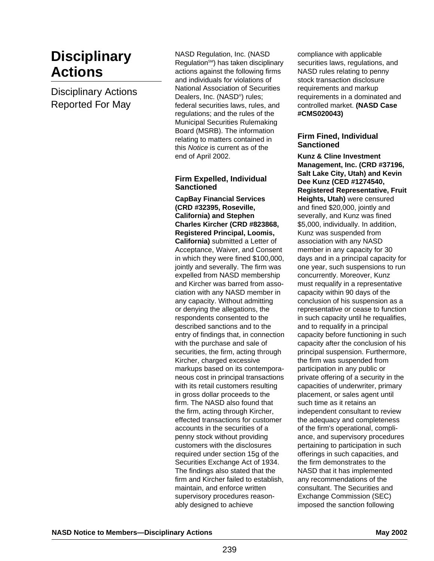# **Disciplinary Actions**

Disciplinary Actions Reported For May

NASD Regulation, Inc. (NASD Regulation<sup>SM</sup>) has taken disciplinary actions against the following firms and individuals for violations of National Association of Securities Dealers, Inc. (NASD®) rules; federal securities laws, rules, and regulations; and the rules of the Municipal Securities Rulemaking Board (MSRB). The information relating to matters contained in this Notice is current as of the end of April 2002.

## **Firm Expelled, Individual Sanctioned**

**CapBay Financial Services (CRD #32395, Roseville, California) and Stephen Charles Kircher (CRD #823868, Registered Principal, Loomis, California)** submitted a Letter of Acceptance, Waiver, and Consent in which they were fined \$100,000, jointly and severally. The firm was expelled from NASD membership and Kircher was barred from association with any NASD member in any capacity. Without admitting or denying the allegations, the respondents consented to the described sanctions and to the entry of findings that, in connection with the purchase and sale of securities, the firm, acting through Kircher, charged excessive markups based on its contemporaneous cost in principal transactions with its retail customers resulting in gross dollar proceeds to the firm. The NASD also found that the firm, acting through Kircher, effected transactions for customer accounts in the securities of a penny stock without providing customers with the disclosures required under section 15g of the Securities Exchange Act of 1934. The findings also stated that the firm and Kircher failed to establish, maintain, and enforce written supervisory procedures reasonably designed to achieve

compliance with applicable securities laws, regulations, and NASD rules relating to penny stock transaction disclosure requirements and markup requirements in a dominated and controlled market. **(NASD Case #CMS020043)** 

## **Firm Fined, Individual Sanctioned**

**Kunz & Cline Investment Management, Inc. (CRD #37196, Salt Lake City, Utah) and Kevin Dee Kunz (CED #1274540, Registered Representative, Fruit Heights, Utah)** were censured and fined \$20,000, jointly and severally, and Kunz was fined \$5,000, individually. In addition, Kunz was suspended from association with any NASD member in any capacity for 30 days and in a principal capacity for one year, such suspensions to run concurrently. Moreover, Kunz must requalify in a representative capacity within 90 days of the conclusion of his suspension as a representative or cease to function in such capacity until he requalifies, and to requalify in a principal capacity before functioning in such capacity after the conclusion of his principal suspension. Furthermore, the firm was suspended from participation in any public or private offering of a security in the capacities of underwriter, primary placement, or sales agent until such time as it retains an independent consultant to review the adequacy and completeness of the firm's operational, compliance, and supervisory procedures pertaining to participation in such offerings in such capacities, and the firm demonstrates to the NASD that it has implemented any recommendations of the consultant. The Securities and Exchange Commission (SEC) imposed the sanction following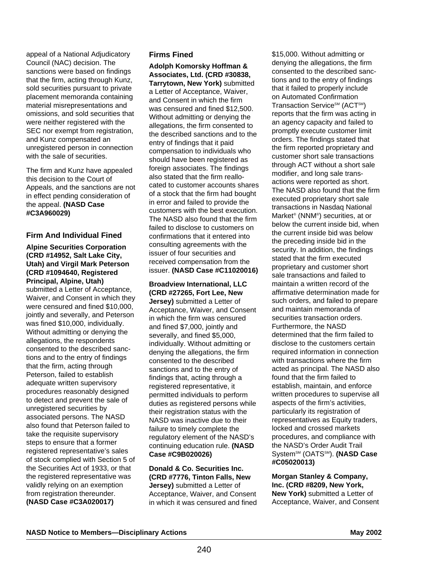appeal of a National Adjudicatory Council (NAC) decision. The sanctions were based on findings that the firm, acting through Kunz, sold securities pursuant to private placement memoranda containing material misrepresentations and omissions, and sold securities that were neither registered with the SEC nor exempt from registration, and Kunz compensated an unregistered person in connection with the sale of securities.

The firm and Kunz have appealed this decision to the Court of Appeals, and the sanctions are not in effect pending consideration of the appeal. **(NASD Case #C3A960029)**

## **Firm And Individual Fined**

**Alpine Securities Corporation (CRD #14952, Salt Lake City, Utah) and Virgil Mark Peterson (CRD #1094640, Registered Principal, Alpine, Utah)** submitted a Letter of Acceptance, Waiver, and Consent in which they were censured and fined \$10,000, jointly and severally, and Peterson was fined \$10,000, individually. Without admitting or denying the allegations, the respondents consented to the described sanctions and to the entry of findings that the firm, acting through Peterson, failed to establish adequate written supervisory procedures reasonably designed to detect and prevent the sale of unregistered securities by associated persons. The NASD also found that Peterson failed to take the requisite supervisory steps to ensure that a former registered representative's sales of stock complied with Section 5 of the Securities Act of 1933, or that the registered representative was validly relying on an exemption from registration thereunder. **(NASD Case #C3A020017)**

## **Firms Fined**

**Adolph Komorsky Hoffman & Associates, Ltd. (CRD #30838, Tarrytown, New York)** submitted a Letter of Acceptance, Waiver, and Consent in which the firm was censured and fined \$12,500. Without admitting or denying the allegations, the firm consented to the described sanctions and to the entry of findings that it paid compensation to individuals who should have been registered as foreign associates. The findings also stated that the firm reallocated to customer accounts shares of a stock that the firm had bought in error and failed to provide the customers with the best execution. The NASD also found that the firm failed to disclose to customers on confirmations that it entered into consulting agreements with the issuer of four securities and received compensation from the issuer. **(NASD Case #C11020016)** 

**Broadview International, LLC (CRD #27265, Fort Lee, New Jersey)** submitted a Letter of Acceptance, Waiver, and Consent in which the firm was censured and fined \$7,000, jointly and severally, and fined \$5,000, individually. Without admitting or denying the allegations, the firm consented to the described sanctions and to the entry of findings that, acting through a registered representative, it permitted individuals to perform duties as registered persons while their registration status with the NASD was inactive due to their failure to timely complete the regulatory element of the NASD's continuing education rule. **(NASD Case #C9B020026)**

**Donald & Co. Securities Inc. (CRD #7776, Tinton Falls, New Jersey)** submitted a Letter of Acceptance, Waiver, and Consent in which it was censured and fined \$15,000. Without admitting or denying the allegations, the firm consented to the described sanctions and to the entry of findings that it failed to properly include on Automated Confirmation Transaction Service<sup>SM</sup> (ACT<sup>SM</sup>) reports that the firm was acting in an agency capacity and failed to promptly execute customer limit orders. The findings stated that the firm reported proprietary and customer short sale transactions through ACT without a short sale modifier, and long sale transactions were reported as short. The NASD also found that the firm executed proprietary short sale transactions in Nasdaq National Market® (NNM®) securities, at or below the current inside bid, when the current inside bid was below the preceding inside bid in the security. In addition, the findings stated that the firm executed proprietary and customer short sale transactions and failed to maintain a written record of the affirmative determination made for such orders, and failed to prepare and maintain memoranda of securities transaction orders. Furthermore, the NASD determined that the firm failed to disclose to the customers certain required information in connection with transactions where the firm acted as principal. The NASD also found that the firm failed to establish, maintain, and enforce written procedures to supervise all aspects of the firm's activities, particularly its registration of representatives as Equity traders, locked and crossed markets procedures, and compliance with the NASD's Order Audit Trail System<sup>sM</sup> (OATS<sup>SM</sup>). **(NASD Case #C05020013)**

**Morgan Stanley & Company, Inc. (CRD #8209, New York, New York)** submitted a Letter of Acceptance, Waiver, and Consent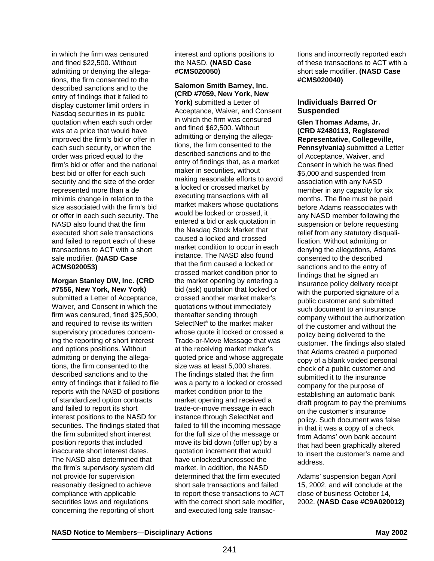in which the firm was censured and fined \$22,500. Without admitting or denying the allegations, the firm consented to the described sanctions and to the entry of findings that it failed to display customer limit orders in Nasdaq securities in its public quotation when each such order was at a price that would have improved the firm's bid or offer in each such security, or when the order was priced equal to the firm's bid or offer and the national best bid or offer for each such security and the size of the order represented more than a de minimis change in relation to the size associated with the firm's bid or offer in each such security. The NASD also found that the firm executed short sale transactions and failed to report each of these transactions to ACT with a short sale modifier. **(NASD Case #CMS020053)**

#### **Morgan Stanley DW, Inc. (CRD #7556, New York, New York)**

submitted a Letter of Acceptance, Waiver, and Consent in which the firm was censured, fined \$25,500, and required to revise its written supervisory procedures concerning the reporting of short interest and options positions. Without admitting or denying the allegations, the firm consented to the described sanctions and to the entry of findings that it failed to file reports with the NASD of positions of standardized option contracts and failed to report its short interest positions to the NASD for securities. The findings stated that the firm submitted short interest position reports that included inaccurate short interest dates. The NASD also determined that the firm's supervisory system did not provide for supervision reasonably designed to achieve compliance with applicable securities laws and regulations concerning the reporting of short

interest and options positions to the NASD. **(NASD Case #CMS020050)** 

# **Salomon Smith Barney, Inc. (CRD #7059, New York, New**

**York)** submitted a Letter of Acceptance, Waiver, and Consent in which the firm was censured and fined \$62,500. Without admitting or denying the allegations, the firm consented to the described sanctions and to the entry of findings that, as a market maker in securities, without making reasonable efforts to avoid a locked or crossed market by executing transactions with all market makers whose quotations would be locked or crossed, it entered a bid or ask quotation in the Nasdaq Stock Market that caused a locked and crossed market condition to occur in each instance. The NASD also found that the firm caused a locked or crossed market condition prior to the market opening by entering a bid (ask) quotation that locked or crossed another market maker's quotations without immediately thereafter sending through SelectNet® to the market maker whose quote it locked or crossed a Trade-or-Move Message that was at the receiving market maker's quoted price and whose aggregate size was at least 5,000 shares. The findings stated that the firm was a party to a locked or crossed market condition prior to the market opening and received a trade-or-move message in each instance through SelectNet and failed to fill the incoming message for the full size of the message or move its bid down (offer up) by a quotation increment that would have unlocked/uncrossed the market. In addition, the NASD determined that the firm executed short sale transactions and failed to report these transactions to ACT with the correct short sale modifier, and executed long sale transactions and incorrectly reported each of these transactions to ACT with a short sale modifier. **(NASD Case #CMS020040)**

## **Individuals Barred Or Suspended**

**Glen Thomas Adams, Jr. (CRD #2480113, Registered Representative, Collegeville, Pennsylvania)** submitted a Letter of Acceptance, Waiver, and Consent in which he was fined \$5,000 and suspended from association with any NASD member in any capacity for six months. The fine must be paid before Adams reassociates with any NASD member following the suspension or before requesting relief from any statutory disqualification. Without admitting or denying the allegations, Adams consented to the described sanctions and to the entry of findings that he signed an insurance policy delivery receipt with the purported signature of a public customer and submitted such document to an insurance company without the authorization of the customer and without the policy being delivered to the customer. The findings also stated that Adams created a purported copy of a blank voided personal check of a public customer and submitted it to the insurance company for the purpose of establishing an automatic bank draft program to pay the premiums on the customer's insurance policy. Such document was false in that it was a copy of a check from Adams' own bank account that had been graphically altered to insert the customer's name and address.

Adams' suspension began April 15, 2002, and will conclude at the close of business October 14, 2002. **(NASD Case #C9A020012)**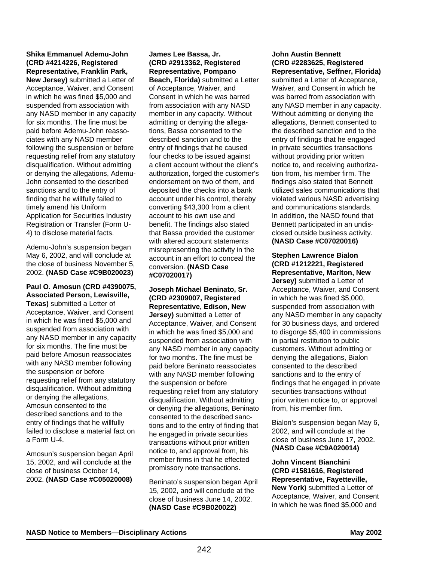**Shika Emmanuel Ademu-John (CRD #4214226, Registered Representative, Franklin Park,**

**New Jersey)** submitted a Letter of Acceptance, Waiver, and Consent in which he was fined \$5,000 and suspended from association with any NASD member in any capacity for six months. The fine must be paid before Ademu-John reassociates with any NASD member following the suspension or before requesting relief from any statutory disqualification. Without admitting or denying the allegations, Ademu-John consented to the described sanctions and to the entry of finding that he willfully failed to timely amend his Uniform Application for Securities Industry Registration or Transfer (Form U-4) to disclose material facts.

Ademu-John's suspension began May 6, 2002, and will conclude at the close of business November 5, 2002. **(NASD Case #C9B020023)**

**Paul O. Amosun (CRD #4390075, Associated Person, Lewisville,**

**Texas)** submitted a Letter of Acceptance, Waiver, and Consent in which he was fined \$5,000 and suspended from association with any NASD member in any capacity for six months. The fine must be paid before Amosun reassociates with any NASD member following the suspension or before requesting relief from any statutory disqualification. Without admitting or denying the allegations, Amosun consented to the described sanctions and to the entry of findings that he willfully failed to disclose a material fact on a Form U-4.

Amosun's suspension began April 15, 2002, and will conclude at the close of business October 14, 2002. **(NASD Case #C05020008)**

**James Lee Bassa, Jr. (CRD #2913362, Registered Representative, Pompano Beach, Florida)** submitted a Letter of Acceptance, Waiver, and Consent in which he was barred from association with any NASD member in any capacity. Without admitting or denying the allegations, Bassa consented to the described sanction and to the entry of findings that he caused four checks to be issued against a client account without the client's authorization, forged the customer's endorsement on two of them, and deposited the checks into a bank account under his control, thereby converting \$43,300 from a client account to his own use and benefit. The findings also stated that Bassa provided the customer with altered account statements misrepresenting the activity in the account in an effort to conceal the conversion. **(NASD Case #C07020017)**

**Joseph Michael Beninato, Sr. (CRD #2309007, Registered Representative, Edison, New**

**Jersey)** submitted a Letter of Acceptance, Waiver, and Consent in which he was fined \$5,000 and suspended from association with any NASD member in any capacity for two months. The fine must be paid before Beninato reassociates with any NASD member following the suspension or before requesting relief from any statutory disqualification. Without admitting or denying the allegations, Beninato consented to the described sanctions and to the entry of finding that he engaged in private securities transactions without prior written notice to, and approval from, his member firms in that he effected promissory note transactions.

Beninato's suspension began April 15, 2002, and will conclude at the close of business June 14, 2002. **(NASD Case #C9B020022)** 

## **John Austin Bennett (CRD #2283625, Registered Representative, Seffner, Florida)**

submitted a Letter of Acceptance, Waiver, and Consent in which he was barred from association with any NASD member in any capacity. Without admitting or denying the allegations, Bennett consented to the described sanction and to the entry of findings that he engaged in private securities transactions without providing prior written notice to, and receiving authorization from, his member firm. The findings also stated that Bennett utilized sales communications that violated various NASD advertising and communications standards. In addition, the NASD found that Bennett participated in an undisclosed outside business activity. **(NASD Case #C07020016)**

**Stephen Lawrence Bialon (CRD #1212221, Registered Representative, Marlton, New Jersey)** submitted a Letter of Acceptance, Waiver, and Consent in which he was fined \$5,000, suspended from association with any NASD member in any capacity for 30 business days, and ordered to disgorge \$5,400 in commissions in partial restitution to public customers. Without admitting or denying the allegations, Bialon consented to the described sanctions and to the entry of findings that he engaged in private securities transactions without prior written notice to, or approval from, his member firm.

Bialon's suspension began May 6, 2002, and will conclude at the close of business June 17, 2002. **(NASD Case #C9A020014)**

**John Vincent Bianchini (CRD #1581616, Registered Representative, Fayetteville, New York)** submitted a Letter of Acceptance, Waiver, and Consent in which he was fined \$5,000 and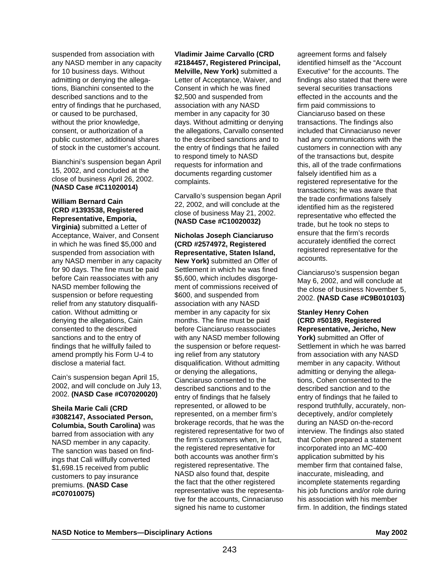suspended from association with any NASD member in any capacity for 10 business days. Without admitting or denying the allegations, Bianchini consented to the described sanctions and to the entry of findings that he purchased, or caused to be purchased, without the prior knowledge, consent, or authorization of a public customer, additional shares of stock in the customer's account.

Bianchini's suspension began April 15, 2002, and concluded at the close of business April 26, 2002. **(NASD Case #C11020014)**

## **William Bernard Cain (CRD #1393538, Registered Representative, Emporia,**

**Virginia)** submitted a Letter of Acceptance, Waiver, and Consent in which he was fined \$5,000 and suspended from association with any NASD member in any capacity for 90 days. The fine must be paid before Cain reassociates with any NASD member following the suspension or before requesting relief from any statutory disqualification. Without admitting or denying the allegations, Cain consented to the described sanctions and to the entry of findings that he willfully failed to amend promptly his Form U-4 to disclose a material fact.

Cain's suspension began April 15, 2002, and will conclude on July 13, 2002. **(NASD Case #C07020020)**

**Sheila Marie Cali (CRD #3082147, Associated Person, Columbia, South Carolina)** was barred from association with any NASD member in any capacity. The sanction was based on findings that Cali willfully converted \$1,698.15 received from public customers to pay insurance premiums. **(NASD Case #C07010075)**

**Vladimir Jaime Carvallo (CRD #2184457, Registered Principal, Melville, New York)** submitted a Letter of Acceptance, Waiver, and Consent in which he was fined \$2,500 and suspended from association with any NASD member in any capacity for 30 days. Without admitting or denying the allegations, Carvallo consented to the described sanctions and to the entry of findings that he failed to respond timely to NASD requests for information and documents regarding customer complaints.

Carvallo's suspension began April 22, 2002, and will conclude at the close of business May 21, 2002. **(NASD Case #C10020032)**

#### **Nicholas Joseph Cianciaruso (CRD #2574972, Registered Representative, Staten Island,**

**New York)** submitted an Offer of Settlement in which he was fined \$5,600, which includes disgorgement of commissions received of \$600, and suspended from association with any NASD member in any capacity for six months. The fine must be paid before Cianciaruso reassociates with any NASD member following the suspension or before requesting relief from any statutory disqualification. Without admitting or denying the allegations, Cianciaruso consented to the described sanctions and to the entry of findings that he falsely represented, or allowed to be represented, on a member firm's brokerage records, that he was the registered representative for two of the firm's customers when, in fact, the registered representative for both accounts was another firm's registered representative. The NASD also found that, despite the fact that the other registered representative was the representative for the accounts, Cinnaciaruso signed his name to customer

agreement forms and falsely identified himself as the "Account Executive" for the accounts. The findings also stated that there were several securities transactions effected in the accounts and the firm paid commissions to Cianciaruso based on these transactions. The findings also included that Cinnaciaruso never had any communications with the customers in connection with any of the transactions but, despite this, all of the trade confirmations falsely identified him as a registered representative for the transactions; he was aware that the trade confirmations falsely identified him as the registered representative who effected the trade, but he took no steps to ensure that the firm's records accurately identified the correct registered representative for the accounts.

Cianciaruso's suspension began May 6, 2002, and will conclude at the close of business November 5, 2002. **(NASD Case #C9B010103)**

#### **Stanley Henry Cohen (CRD #50189, Registered Representative, Jericho, New** York) submitted an Offer of Settlement in which he was barred from association with any NASD member in any capacity. Without admitting or denying the allegations, Cohen consented to the described sanction and to the entry of findings that he failed to respond truthfully, accurately, nondeceptively, and/or completely during an NASD on-the-record interview. The findings also stated that Cohen prepared a statement incorporated into an MC-400 application submitted by his member firm that contained false, inaccurate, misleading, and incomplete statements regarding his job functions and/or role during his association with his member firm. In addition, the findings stated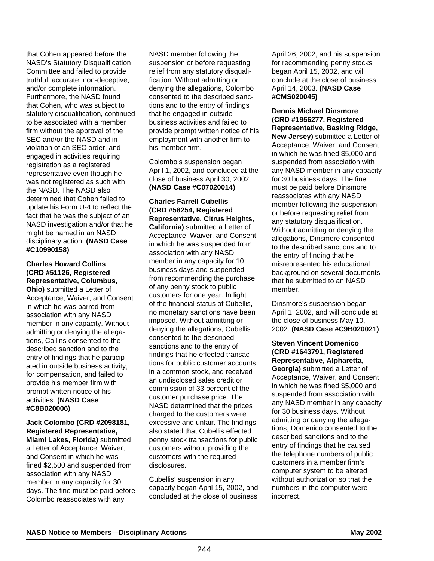that Cohen appeared before the NASD's Statutory Disqualification Committee and failed to provide truthful, accurate, non-deceptive, and/or complete information. Furthermore, the NASD found that Cohen, who was subject to statutory disqualification, continued to be associated with a member firm without the approval of the SEC and/or the NASD and in violation of an SEC order, and engaged in activities requiring registration as a registered representative even though he was not registered as such with the NASD. The NASD also determined that Cohen failed to update his Form U-4 to reflect the fact that he was the subject of an NASD investigation and/or that he might be named in an NASD disciplinary action. **(NASD Case #C10990158)**

## **Charles Howard Collins (CRD #51126, Registered Representative, Columbus,**

**Ohio)** submitted a Letter of Acceptance, Waiver, and Consent in which he was barred from association with any NASD member in any capacity. Without admitting or denying the allegations, Collins consented to the described sanction and to the entry of findings that he participated in outside business activity, for compensation, and failed to provide his member firm with prompt written notice of his activities. **(NASD Case #C8B020006)**

#### **Jack Colombo (CRD #2098181, Registered Representative, Miami Lakes, Florida)** submitted a Letter of Acceptance, Waiver, and Consent in which he was fined \$2,500 and suspended from association with any NASD member in any capacity for 30 days. The fine must be paid before Colombo reassociates with any

NASD member following the suspension or before requesting relief from any statutory disqualification. Without admitting or denying the allegations, Colombo consented to the described sanctions and to the entry of findings that he engaged in outside business activities and failed to provide prompt written notice of his employment with another firm to his member firm.

Colombo's suspension began April 1, 2002, and concluded at the close of business April 30, 2002. **(NASD Case #C07020014)**

**Charles Farrell Cubellis (CRD #58254, Registered Representative, Citrus Heights, California)** submitted a Letter of Acceptance, Waiver, and Consent in which he was suspended from association with any NASD member in any capacity for 10 business days and suspended from recommending the purchase of any penny stock to public customers for one year. In light of the financial status of Cubellis, no monetary sanctions have been imposed. Without admitting or denying the allegations, Cubellis consented to the described sanctions and to the entry of findings that he effected transactions for public customer accounts in a common stock, and received an undisclosed sales credit or commission of 33 percent of the customer purchase price. The NASD determined that the prices charged to the customers were excessive and unfair. The findings also stated that Cubellis effected penny stock transactions for public customers without providing the customers with the required disclosures.

Cubellis' suspension in any capacity began April 15, 2002, and concluded at the close of business

April 26, 2002, and his suspension for recommending penny stocks began April 15, 2002, and will conclude at the close of business April 14, 2003. **(NASD Case #CMS020045)**

#### **Dennis Michael Dinsmore (CRD #1956277, Registered Representative, Basking Ridge, New Jersey)** submitted a Letter of Acceptance, Waiver, and Consent in which he was fined \$5,000 and suspended from association with any NASD member in any capacity for 30 business days. The fine must be paid before Dinsmore reassociates with any NASD member following the suspension or before requesting relief from any statutory disqualification. Without admitting or denying the allegations, Dinsmore consented to the described sanctions and to the entry of finding that he misrepresented his educational background on several documents that he submitted to an NASD member.

Dinsmore's suspension began April 1, 2002, and will conclude at the close of business May 10, 2002. **(NASD Case #C9B020021)**

**Steven Vincent Domenico (CRD #1643791, Registered Representative, Alpharetta, Georgia)** submitted a Letter of Acceptance, Waiver, and Consent in which he was fined \$5,000 and suspended from association with any NASD member in any capacity for 30 business days. Without admitting or denying the allegations, Domenico consented to the described sanctions and to the entry of findings that he caused the telephone numbers of public customers in a member firm's computer system to be altered without authorization so that the numbers in the computer were incorrect.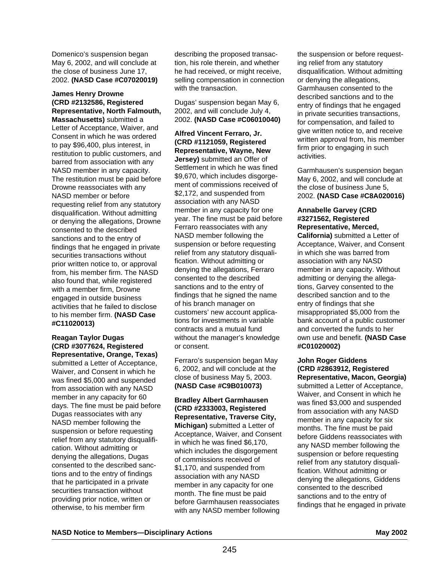Domenico's suspension began May 6, 2002, and will conclude at the close of business June 17, 2002. **(NASD Case #C07020019)**

#### **James Henry Drowne (CRD #2132586, Registered Representative, North Falmouth, Massachusetts)** submitted a

Letter of Acceptance, Waiver, and Consent in which he was ordered to pay \$96,400, plus interest, in restitution to public customers, and barred from association with any NASD member in any capacity. The restitution must be paid before Drowne reassociates with any NASD member or before requesting relief from any statutory disqualification. Without admitting or denying the allegations, Drowne consented to the described sanctions and to the entry of findings that he engaged in private securities transactions without prior written notice to, or approval from, his member firm. The NASD also found that, while registered with a member firm, Drowne engaged in outside business activities that he failed to disclose to his member firm. **(NASD Case #C11020013)**

#### **Reagan Taylor Dugas (CRD #3077624, Registered Representative, Orange, Texas)**

submitted a Letter of Acceptance, Waiver, and Consent in which he was fined \$5,000 and suspended from association with any NASD member in any capacity for 60 days. The fine must be paid before Dugas reassociates with any NASD member following the suspension or before requesting relief from any statutory disqualification. Without admitting or denying the allegations, Dugas consented to the described sanctions and to the entry of findings that he participated in a private securities transaction without providing prior notice, written or otherwise, to his member firm

describing the proposed transaction, his role therein, and whether he had received, or might receive, selling compensation in connection with the transaction.

Dugas' suspension began May 6, 2002, and will conclude July 4, 2002. **(NASD Case #C06010040)**

**Alfred Vincent Ferraro, Jr. (CRD #1121059, Registered Representative, Wayne, New Jersey)** submitted an Offer of Settlement in which he was fined \$9,670, which includes disgorgement of commissions received of \$2,172, and suspended from association with any NASD member in any capacity for one year. The fine must be paid before Ferraro reassociates with any NASD member following the suspension or before requesting relief from any statutory disqualification. Without admitting or denying the allegations, Ferraro consented to the described sanctions and to the entry of findings that he signed the name of his branch manager on customers' new account applications for investments in variable contracts and a mutual fund without the manager's knowledge or consent.

Ferraro's suspension began May 6, 2002, and will conclude at the close of business May 5, 2003. **(NASD Case #C9B010073)**

**Bradley Albert Garmhausen (CRD #2333003, Registered Representative, Traverse City, Michigan)** submitted a Letter of Acceptance, Waiver, and Consent in which he was fined \$6,170, which includes the disgorgement of commissions received of \$1,170, and suspended from association with any NASD member in any capacity for one month. The fine must be paid before Garmhausen reassociates with any NASD member following

the suspension or before requesting relief from any statutory disqualification. Without admitting or denying the allegations, Garmhausen consented to the described sanctions and to the entry of findings that he engaged in private securities transactions, for compensation, and failed to give written notice to, and receive written approval from, his member firm prior to engaging in such activities.

Garmhausen's suspension began May 6, 2002, and will conclude at the close of business June 5, 2002. **(NASD Case #C8A020016)**

## **Annabelle Garvey (CRD #3271562, Registered Representative, Merced,**

**California)** submitted a Letter of Acceptance, Waiver, and Consent in which she was barred from association with any NASD member in any capacity. Without admitting or denying the allegations, Garvey consented to the described sanction and to the entry of findings that she misappropriated \$5,000 from the bank account of a public customer and converted the funds to her own use and benefit. **(NASD Case #C01020002)**

#### **John Roger Giddens (CRD #2863912, Registered Representative, Macon, Georgia)**

submitted a Letter of Acceptance, Waiver, and Consent in which he was fined \$3,000 and suspended from association with any NASD member in any capacity for six months. The fine must be paid before Giddens reassociates with any NASD member following the suspension or before requesting relief from any statutory disqualification. Without admitting or denying the allegations, Giddens consented to the described sanctions and to the entry of findings that he engaged in private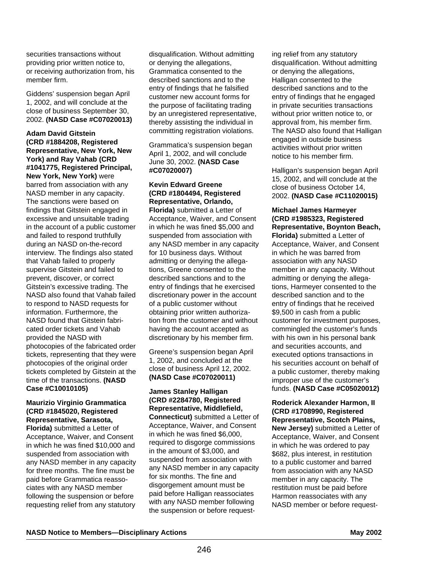securities transactions without providing prior written notice to, or receiving authorization from, his member firm.

Giddens' suspension began April 1, 2002, and will conclude at the close of business September 30, 2002. **(NASD Case #C07020013)**

**Adam David Gitstein (CRD #1884208, Registered Representative, New York, New York) and Ray Vahab (CRD #1041775, Registered Principal, New York, New York)** were barred from association with any NASD member in any capacity. The sanctions were based on findings that Gitstein engaged in excessive and unsuitable trading in the account of a public customer and failed to respond truthfully during an NASD on-the-record interview. The findings also stated that Vahab failed to properly supervise Gitstein and failed to prevent, discover, or correct Gitstein's excessive trading. The NASD also found that Vahab failed to respond to NASD requests for information. Furthermore, the NASD found that Gitstein fabricated order tickets and Vahab provided the NASD with photocopies of the fabricated order tickets, representing that they were photocopies of the original order tickets completed by Gitstein at the time of the transactions. **(NASD Case #C10010105)**

## **Maurizio Virginio Grammatica (CRD #1845020, Registered Representative, Sarasota,**

**Florida)** submitted a Letter of Acceptance, Waiver, and Consent in which he was fined \$10,000 and suspended from association with any NASD member in any capacity for three months. The fine must be paid before Grammatica reassociates with any NASD member following the suspension or before requesting relief from any statutory

disqualification. Without admitting or denying the allegations, Grammatica consented to the described sanctions and to the entry of findings that he falsified customer new account forms for the purpose of facilitating trading by an unregistered representative, thereby assisting the individual in committing registration violations.

Grammatica's suspension began April 1, 2002, and will conclude June 30, 2002. **(NASD Case #C07020007)**

## **Kevin Edward Greene (CRD #1804494, Registered Representative, Orlando,**

**Florida)** submitted a Letter of Acceptance, Waiver, and Consent in which he was fined \$5,000 and suspended from association with any NASD member in any capacity for 10 business days. Without admitting or denying the allegations, Greene consented to the described sanctions and to the entry of findings that he exercised discretionary power in the account of a public customer without obtaining prior written authorization from the customer and without having the account accepted as discretionary by his member firm.

Greene's suspension began April 1, 2002, and concluded at the close of business April 12, 2002. **(NASD Case #C07020011)**

#### **James Stanley Halligan (CRD #2284780, Registered Representative, Middlefield, Connecticut)** submitted a Letter of Acceptance, Waiver, and Consent in which he was fined \$6,000, required to disgorge commissions in the amount of \$3,000, and suspended from association with any NASD member in any capacity for six months. The fine and disgorgement amount must be paid before Halligan reassociates with any NASD member following the suspension or before request-

ing relief from any statutory disqualification. Without admitting or denying the allegations, Halligan consented to the described sanctions and to the entry of findings that he engaged in private securities transactions without prior written notice to, or approval from, his member firm. The NASD also found that Halligan engaged in outside business activities without prior written notice to his member firm.

Halligan's suspension began April 15, 2002, and will conclude at the close of business October 14, 2002. **(NASD Case #C11020015)**

#### **Michael James Harmeyer (CRD #1985323, Registered Representative, Boynton Beach, Florida)** submitted a Letter of Acceptance, Waiver, and Consent in which he was barred from association with any NASD member in any capacity. Without admitting or denying the allegations, Harmeyer consented to the described sanction and to the entry of findings that he received \$9,500 in cash from a public customer for investment purposes, commingled the customer's funds with his own in his personal bank and securities accounts, and executed options transactions in his securities account on behalf of a public customer, thereby making improper use of the customer's funds. **(NASD Case #C05020012)**

**Roderick Alexander Harmon, II (CRD #1708990, Registered Representative, Scotch Plains, New Jersey)** submitted a Letter of Acceptance, Waiver, and Consent in which he was ordered to pay \$682, plus interest, in restitution to a public customer and barred from association with any NASD member in any capacity. The restitution must be paid before Harmon reassociates with any NASD member or before request-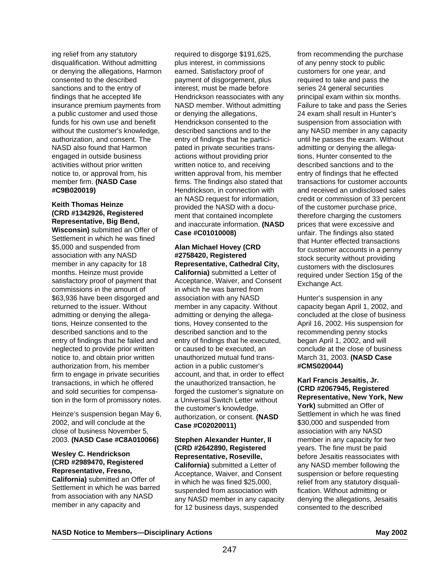ing relief from any statutory disqualification. Without admitting or denying the allegations, Harmon consented to the described sanctions and to the entry of findings that he accepted life insurance premium payments from a public customer and used those funds for his own use and benefit without the customer's knowledge. authorization, and consent. The NASD also found that Harmon engaged in outside business activities without prior written notice to, or approval from, his member firm. **(NASD Case #C9B020019)**

# **Keith Thomas Heinze (CRD #1342926, Registered Representative, Big Bend,**

**Wisconsin)** submitted an Offer of Settlement in which he was fined \$5,000 and suspended from association with any NASD member in any capacity for 18 months. Heinze must provide satisfactory proof of payment that commissions in the amount of \$63,936 have been disgorged and returned to the issuer. Without admitting or denying the allegations, Heinze consented to the described sanctions and to the entry of findings that he failed and neglected to provide prior written notice to, and obtain prior written authorization from, his member firm to engage in private securities transactions, in which he offered and sold securities for compensation in the form of promissory notes.

Heinze's suspension began May 6, 2002, and will conclude at the close of business November 5, 2003. **(NASD Case #C8A010066)**

## **Wesley C. Hendrickson (CRD #2989470, Registered Representative, Fresno,**

**California)** submitted an Offer of Settlement in which he was barred from association with any NASD member in any capacity and

required to disgorge \$191,625, plus interest, in commissions earned. Satisfactory proof of payment of disgorgement, plus interest, must be made before Hendrickson reassociates with any NASD member. Without admitting or denying the allegations, Hendrickson consented to the described sanctions and to the entry of findings that he participated in private securities transactions without providing prior written notice to, and receiving written approval from, his member firms. The findings also stated that Hendrickson, in connection with an NASD request for information, provided the NASD with a document that contained incomplete and inaccurate information. **(NASD Case #C01010008)**

## **Alan Michael Hovey (CRD #2758420, Registered Representative, Cathedral City,**

**California)** submitted a Letter of Acceptance, Waiver, and Consent in which he was barred from association with any NASD member in any capacity. Without admitting or denying the allegations, Hovey consented to the described sanction and to the entry of findings that he executed, or caused to be executed, an unauthorized mutual fund transaction in a public customer's account, and that, in order to effect the unauthorized transaction, he forged the customer's signature on a Universal Switch Letter without the customer's knowledge, authorization, or consent. **(NASD Case #C02020011)**

#### **Stephen Alexander Hunter, II (CRD #2642890, Registered Representative, Roseville, California)** submitted a Letter of Acceptance, Waiver, and Consent in which he was fined \$25,000, suspended from association with any NASD member in any capacity for 12 business days, suspended

from recommending the purchase of any penny stock to public customers for one year, and required to take and pass the series 24 general securities principal exam within six months. Failure to take and pass the Series 24 exam shall result in Hunter's suspension from association with any NASD member in any capacity until he passes the exam. Without admitting or denying the allegations, Hunter consented to the described sanctions and to the entry of findings that he effected transactions for customer accounts and received an undisclosed sales credit or commission of 33 percent of the customer purchase price, therefore charging the customers prices that were excessive and unfair. The findings also stated that Hunter effected transactions for customer accounts in a penny stock security without providing customers with the disclosures required under Section 15g of the Exchange Act.

Hunter's suspension in any capacity began April 1, 2002, and concluded at the close of business April 16, 2002. His suspension for recommending penny stocks began April 1, 2002, and will conclude at the close of business March 31, 2003. **(NASD Case #CMS020044)**

**Karl Francis Jesaitis, Jr. (CRD #2067945, Registered Representative, New York, New** York) submitted an Offer of Settlement in which he was fined \$30,000 and suspended from association with any NASD member in any capacity for two years. The fine must be paid before Jesaitis reassociates with any NASD member following the suspension or before requesting relief from any statutory disqualification. Without admitting or denying the allegations, Jesaitis consented to the described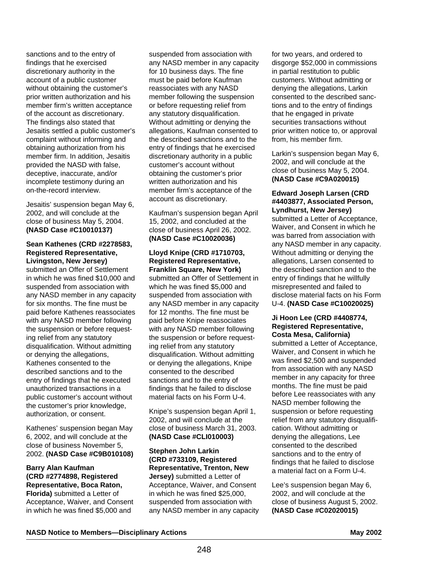sanctions and to the entry of findings that he exercised discretionary authority in the account of a public customer without obtaining the customer's prior written authorization and his member firm's written acceptance of the account as discretionary. The findings also stated that Jesaitis settled a public customer's complaint without informing and obtaining authorization from his member firm. In addition, Jesaitis provided the NASD with false, deceptive, inaccurate, and/or incomplete testimony during an on-the-record interview.

Jesaitis' suspension began May 6, 2002, and will conclude at the close of business May 5, 2004. **(NASD Case #C10010137)**

#### **Sean Kathenes (CRD #2278583, Registered Representative, Livingston, New Jersey)**

submitted an Offer of Settlement in which he was fined \$10,000 and suspended from association with any NASD member in any capacity for six months. The fine must be paid before Kathenes reassociates with any NASD member following the suspension or before requesting relief from any statutory disqualification. Without admitting or denying the allegations, Kathenes consented to the described sanctions and to the entry of findings that he executed unauthorized transactions in a public customer's account without the customer's prior knowledge, authorization, or consent.

Kathenes' suspension began May 6, 2002, and will conclude at the close of business November 5, 2002. **(NASD Case #C9B010108)**

#### **Barry Alan Kaufman (CRD #2774898, Registered Representative, Boca Raton, Florida)** submitted a Letter of Acceptance, Waiver, and Consent

in which he was fined \$5,000 and

suspended from association with any NASD member in any capacity for 10 business days. The fine must be paid before Kaufman reassociates with any NASD member following the suspension or before requesting relief from any statutory disqualification. Without admitting or denying the allegations, Kaufman consented to the described sanctions and to the entry of findings that he exercised discretionary authority in a public customer's account without obtaining the customer's prior written authorization and his member firm's acceptance of the account as discretionary.

Kaufman's suspension began April 15, 2002, and concluded at the close of business April 26, 2002. **(NASD Case #C10020036)**

#### **Lloyd Knipe (CRD #1710703, Registered Representative, Franklin Square, New York)** submitted an Offer of Settlement in which he was fined \$5,000 and suspended from association with any NASD member in any capacity for 12 months. The fine must be paid before Knipe reassociates with any NASD member following the suspension or before requesting relief from any statutory disqualification. Without admitting or denying the allegations, Knipe consented to the described sanctions and to the entry of findings that he failed to disclose material facts on his Form U-4.

Knipe's suspension began April 1, 2002, and will conclude at the close of business March 31, 2003. **(NASD Case #CLI010003)**

**Stephen John Larkin (CRD #733109, Registered Representative, Trenton, New Jersey)** submitted a Letter of Acceptance, Waiver, and Consent in which he was fined \$25,000, suspended from association with any NASD member in any capacity for two years, and ordered to disgorge \$52,000 in commissions in partial restitution to public customers. Without admitting or denying the allegations, Larkin consented to the described sanctions and to the entry of findings that he engaged in private securities transactions without prior written notice to, or approval from, his member firm.

Larkin's suspension began May 6, 2002, and will conclude at the close of business May 5, 2004. **(NASD Case #C9A020015)**

#### **Edward Joseph Larsen (CRD #4403877, Associated Person, Lyndhurst, New Jersey)**

submitted a Letter of Acceptance, Waiver, and Consent in which he was barred from association with any NASD member in any capacity. Without admitting or denying the allegations, Larsen consented to the described sanction and to the entry of findings that he willfully misrepresented and failed to disclose material facts on his Form U-4. **(NASD Case #C10020025)**

## **Ji Hoon Lee (CRD #4408774, Registered Representative, Costa Mesa, California)**

submitted a Letter of Acceptance, Waiver, and Consent in which he was fined \$2,500 and suspended from association with any NASD member in any capacity for three months. The fine must be paid before Lee reassociates with any NASD member following the suspension or before requesting relief from any statutory disqualification. Without admitting or denying the allegations, Lee consented to the described sanctions and to the entry of findings that he failed to disclose a material fact on a Form U-4.

Lee's suspension began May 6, 2002, and will conclude at the close of business August 5, 2002. **(NASD Case #C02020015)**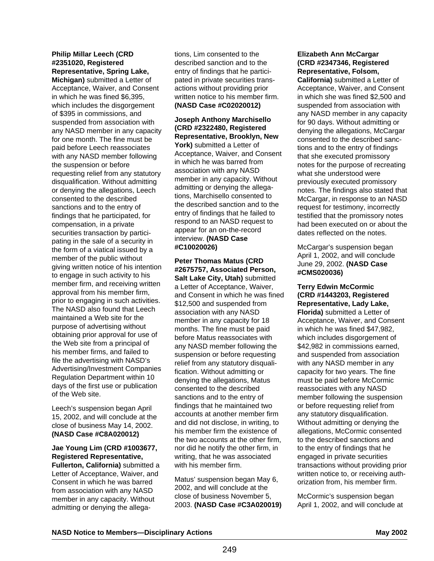## **Philip Millar Leech (CRD #2351020, Registered Representative, Spring Lake,**

**Michigan)** submitted a Letter of Acceptance, Waiver, and Consent in which he was fined \$6,395, which includes the disgorgement of \$395 in commissions, and suspended from association with any NASD member in any capacity for one month. The fine must be paid before Leech reassociates with any NASD member following the suspension or before requesting relief from any statutory disqualification. Without admitting or denying the allegations, Leech consented to the described sanctions and to the entry of findings that he participated, for compensation, in a private securities transaction by participating in the sale of a security in the form of a viatical issued by a member of the public without giving written notice of his intention to engage in such activity to his member firm, and receiving written approval from his member firm, prior to engaging in such activities. The NASD also found that Leech maintained a Web site for the purpose of advertising without obtaining prior approval for use of the Web site from a principal of his member firms, and failed to file the advertising with NASD's Advertising/Investment Companies Regulation Department within 10 days of the first use or publication of the Web site.

Leech's suspension began April 15, 2002, and will conclude at the close of business May 14, 2002. **(NASD Case #C8A020012)**

#### **Jae Young Lim (CRD #1003677, Registered Representative, Fullerton, California)** submitted a

Letter of Acceptance, Waiver, and Consent in which he was barred from association with any NASD member in any capacity. Without admitting or denying the allegations, Lim consented to the described sanction and to the entry of findings that he participated in private securities transactions without providing prior written notice to his member firm. **(NASD Case #C02020012)**

**Joseph Anthony Marchisello (CRD #2322480, Registered Representative, Brooklyn, New York)** submitted a Letter of Acceptance, Waiver, and Consent in which he was barred from association with any NASD member in any capacity. Without admitting or denying the allegations, Marchisello consented to the described sanction and to the entry of findings that he failed to respond to an NASD request to appear for an on-the-record interview. **(NASD Case #C10020026)**

#### **Peter Thomas Matus (CRD #2675757, Associated Person, Salt Lake City, Utah)** submitted

a Letter of Acceptance, Waiver, and Consent in which he was fined \$12,500 and suspended from association with any NASD member in any capacity for 18 months. The fine must be paid before Matus reassociates with any NASD member following the suspension or before requesting relief from any statutory disqualification. Without admitting or denying the allegations, Matus consented to the described sanctions and to the entry of findings that he maintained two accounts at another member firm and did not disclose, in writing, to his member firm the existence of the two accounts at the other firm, nor did he notify the other firm, in writing, that he was associated with his member firm.

Matus' suspension began May 6, 2002, and will conclude at the close of business November 5, 2003. **(NASD Case #C3A020019)**

## **Elizabeth Ann McCargar (CRD #2347346, Registered Representative, Folsom,**

**California)** submitted a Letter of Acceptance, Waiver, and Consent in which she was fined \$2,500 and suspended from association with any NASD member in any capacity for 90 days. Without admitting or denving the allegations, McCargar consented to the described sanctions and to the entry of findings that she executed promissory notes for the purpose of recreating what she understood were previously executed promissory notes. The findings also stated that McCargar, in response to an NASD request for testimony, incorrectly testified that the promissory notes had been executed on or about the dates reflected on the notes.

McCargar's suspension began April 1, 2002, and will conclude June 29, 2002. **(NASD Case #CMS020036)**

**Terry Edwin McCormic (CRD #1443203, Registered Representative, Lady Lake, Florida)** submitted a Letter of Acceptance, Waiver, and Consent in which he was fined \$47,982, which includes disgorgement of \$42,982 in commissions earned. and suspended from association with any NASD member in any capacity for two years. The fine must be paid before McCormic reassociates with any NASD member following the suspension or before requesting relief from any statutory disqualification. Without admitting or denying the allegations, McCormic consented to the described sanctions and to the entry of findings that he engaged in private securities transactions without providing prior written notice to, or receiving authorization from, his member firm.

McCormic's suspension began April 1, 2002, and will conclude at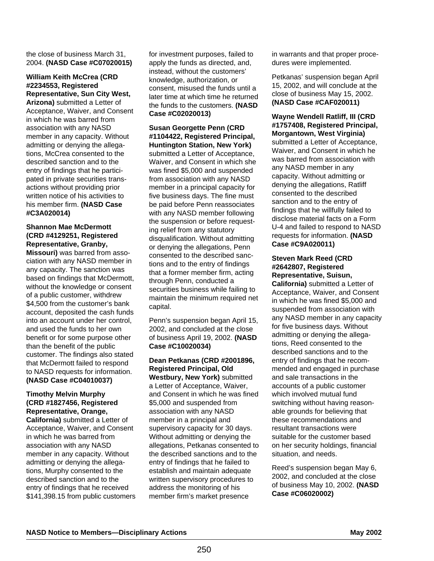the close of business March 31, 2004. **(NASD Case #C07020015)**

## **William Keith McCrea (CRD #2234553, Registered Representative, Sun City West,**

**Arizona)** submitted a Letter of Acceptance, Waiver, and Consent in which he was barred from association with any NASD member in any capacity. Without admitting or denying the allegations, McCrea consented to the described sanction and to the entry of findings that he participated in private securities transactions without providing prior written notice of his activities to his member firm. **(NASD Case #C3A020014)**

## **Shannon Mae McDermott (CRD #4129251, Registered Representative, Granby,**

**Missouri)** was barred from association with any NASD member in any capacity. The sanction was based on findings that McDermott, without the knowledge or consent of a public customer, withdrew \$4,500 from the customer's bank account, deposited the cash funds into an account under her control, and used the funds to her own benefit or for some purpose other than the benefit of the public customer. The findings also stated that McDermott failed to respond to NASD requests for information. **(NASD Case #C04010037)**

**Timothy Melvin Murphy (CRD #1827456, Registered Representative, Orange, California)** submitted a Letter of Acceptance, Waiver, and Consent in which he was barred from association with any NASD member in any capacity. Without admitting or denying the allegations, Murphy consented to the described sanction and to the entry of findings that he received \$141,398.15 from public customers for investment purposes, failed to apply the funds as directed, and, instead, without the customers' knowledge, authorization, or consent, misused the funds until a later time at which time he returned the funds to the customers. **(NASD Case #C02020013)**

**Susan Georgette Penn (CRD #1104422, Registered Principal, Huntington Station, New York)** submitted a Letter of Acceptance, Waiver, and Consent in which she was fined \$5,000 and suspended from association with any NASD member in a principal capacity for five business days. The fine must be paid before Penn reassociates with any NASD member following the suspension or before requesting relief from any statutory disqualification. Without admitting or denying the allegations, Penn consented to the described sanctions and to the entry of findings that a former member firm, acting through Penn, conducted a securities business while failing to maintain the minimum required net capital.

Penn's suspension began April 15, 2002, and concluded at the close of business April 19, 2002. **(NASD Case #C10020034)**

#### **Dean Petkanas (CRD #2001896, Registered Principal, Old Westbury, New York)** submitted a Letter of Acceptance, Waiver, and Consent in which he was fined \$5,000 and suspended from association with any NASD member in a principal and supervisory capacity for 30 days. Without admitting or denying the allegations, Petkanas consented to the described sanctions and to the entry of findings that he failed to establish and maintain adequate written supervisory procedures to address the monitoring of his member firm's market presence

in warrants and that proper procedures were implemented.

Petkanas' suspension began April 15, 2002, and will conclude at the close of business May 15, 2002. **(NASD Case #CAF020011)**

**Wayne Wendell Ratliff, III (CRD #1757408, Registered Principal, Morgantown, West Virginia)** submitted a Letter of Acceptance, Waiver, and Consent in which he was barred from association with any NASD member in any capacity. Without admitting or denying the allegations, Ratliff consented to the described sanction and to the entry of findings that he willfully failed to disclose material facts on a Form U-4 and failed to respond to NASD requests for information. **(NASD Case #C9A020011)**

#### **Steven Mark Reed (CRD #2642807, Registered Representative, Suisun,**

**California)** submitted a Letter of Acceptance, Waiver, and Consent in which he was fined \$5,000 and suspended from association with any NASD member in any capacity for five business days. Without admitting or denying the allegations, Reed consented to the described sanctions and to the entry of findings that he recommended and engaged in purchase and sale transactions in the accounts of a public customer which involved mutual fund switching without having reasonable grounds for believing that these recommendations and resultant transactions were suitable for the customer based on her security holdings, financial situation, and needs.

Reed's suspension began May 6, 2002, and concluded at the close of business May 10, 2002. **(NASD Case #C06020002)**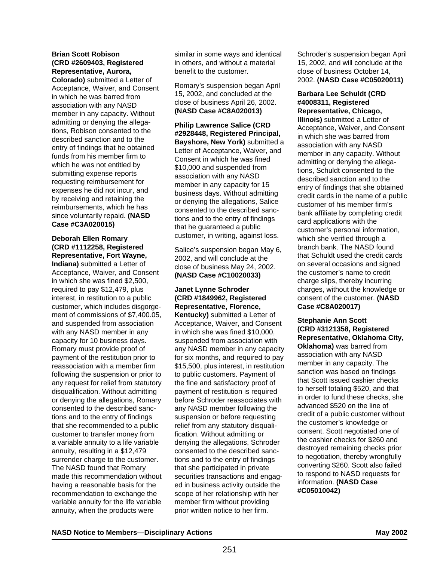#### **Brian Scott Robison (CRD #2609403, Registered Representative, Aurora,**

**Colorado)** submitted a Letter of Acceptance, Waiver, and Consent in which he was barred from association with any NASD member in any capacity. Without admitting or denying the allegations, Robison consented to the described sanction and to the entry of findings that he obtained funds from his member firm to which he was not entitled by submitting expense reports requesting reimbursement for expenses he did not incur, and by receiving and retaining the reimbursements, which he has since voluntarily repaid. **(NASD Case #C3A020015)**

# **Deborah Ellen Romary (CRD #1112258, Registered Representative, Fort Wayne,**

**Indiana)** submitted a Letter of Acceptance, Waiver, and Consent in which she was fined \$2,500, required to pay \$12,479, plus interest, in restitution to a public customer, which includes disgorgement of commissions of \$7,400.05, and suspended from association with any NASD member in any capacity for 10 business days. Romary must provide proof of payment of the restitution prior to reassociation with a member firm following the suspension or prior to any request for relief from statutory disqualification. Without admitting or denying the allegations, Romary consented to the described sanctions and to the entry of findings that she recommended to a public customer to transfer money from a variable annuity to a life variable annuity, resulting in a \$12,479 surrender charge to the customer. The NASD found that Romary made this recommendation without having a reasonable basis for the recommendation to exchange the variable annuity for the life variable annuity, when the products were

similar in some ways and identical in others, and without a material benefit to the customer.

Romary's suspension began April 15, 2002, and concluded at the close of business April 26, 2002. **(NASD Case #C8A020013)**

**Philip Lawrence Salice (CRD #2928448, Registered Principal, Bayshore, New York)** submitted a Letter of Acceptance, Waiver, and Consent in which he was fined \$10,000 and suspended from association with any NASD member in any capacity for 15 business days. Without admitting or denying the allegations, Salice consented to the described sanctions and to the entry of findings that he guaranteed a public customer, in writing, against loss.

Salice's suspension began May 6, 2002, and will conclude at the close of business May 24, 2002. **(NASD Case #C10020033)**

## **Janet Lynne Schroder (CRD #1849962, Registered Representative, Florence,**

**Kentucky)** submitted a Letter of Acceptance, Waiver, and Consent in which she was fined \$10,000, suspended from association with any NASD member in any capacity for six months, and required to pay \$15,500, plus interest, in restitution to public customers. Payment of the fine and satisfactory proof of payment of restitution is required before Schroder reassociates with any NASD member following the suspension or before requesting relief from any statutory disqualification. Without admitting or denying the allegations, Schroder consented to the described sanctions and to the entry of findings that she participated in private securities transactions and engaged in business activity outside the scope of her relationship with her member firm without providing prior written notice to her firm.

Schroder's suspension began April 15, 2002, and will conclude at the close of business October 14, 2002. **(NASD Case #C05020011)**

#### **Barbara Lee Schuldt (CRD #4008311, Registered Representative, Chicago,**

**Illinois)** submitted a Letter of Acceptance, Waiver, and Consent in which she was barred from association with any NASD member in any capacity. Without admitting or denying the allegations, Schuldt consented to the described sanction and to the entry of findings that she obtained credit cards in the name of a public customer of his member firm's bank affiliate by completing credit card applications with the customer's personal information, which she verified through a branch bank. The NASD found that Schuldt used the credit cards on several occasions and signed the customer's name to credit charge slips, thereby incurring charges, without the knowledge or consent of the customer. **(NASD Case #C8A020017)**

**Stephanie Ann Scott (CRD #3121358, Registered Representative, Oklahoma City, Oklahoma)** was barred from association with any NASD member in any capacity. The sanction was based on findings that Scott issued cashier checks to herself totaling \$520, and that in order to fund these checks, she advanced \$520 on the line of credit of a public customer without the customer's knowledge or consent. Scott negotiated one of the cashier checks for \$260 and destroyed remaining checks prior to negotiation, thereby wrongfully converting \$260. Scott also failed to respond to NASD requests for information. **(NASD Case #C05010042)**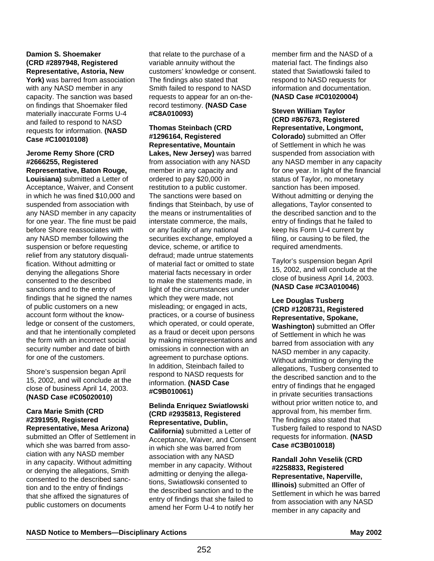#### **Damion S. Shoemaker (CRD #2897948, Registered Representative, Astoria, New**

York) was barred from association with any NASD member in any capacity. The sanction was based on findings that Shoemaker filed materially inaccurate Forms U-4 and failed to respond to NASD requests for information. **(NASD Case #C10010108)**

#### **Jerome Remy Shore (CRD #2666255, Registered Representative, Baton Rouge,**

**Louisiana)** submitted a Letter of Acceptance, Waiver, and Consent in which he was fined \$10,000 and suspended from association with any NASD member in any capacity for one year. The fine must be paid before Shore reassociates with any NASD member following the suspension or before requesting relief from any statutory disqualification. Without admitting or denying the allegations Shore consented to the described sanctions and to the entry of findings that he signed the names of public customers on a new account form without the knowledge or consent of the customers, and that he intentionally completed the form with an incorrect social security number and date of birth for one of the customers.

Shore's suspension began April 15, 2002, and will conclude at the close of business April 14, 2003. **(NASD Case #C05020010)**

#### **Cara Marie Smith (CRD #2391959, Registered Representative, Mesa Arizona)**

submitted an Offer of Settlement in which she was barred from association with any NASD member in any capacity. Without admitting or denying the allegations, Smith consented to the described sanction and to the entry of findings that she affixed the signatures of public customers on documents

that relate to the purchase of a variable annuity without the customers' knowledge or consent. The findings also stated that Smith failed to respond to NASD requests to appear for an on-therecord testimony. **(NASD Case #C8A010093)** 

#### **Thomas Steinbach (CRD #1296164, Registered Representative, Mountain**

**Lakes, New Jersey)** was barred from association with any NASD member in any capacity and ordered to pay \$20,000 in restitution to a public customer. The sanctions were based on findings that Steinbach, by use of the means or instrumentalities of interstate commerce, the mails, or any facility of any national securities exchange, employed a device, scheme, or artifice to defraud; made untrue statements of material fact or omitted to state material facts necessary in order to make the statements made, in light of the circumstances under which they were made, not misleading; or engaged in acts, practices, or a course of business which operated, or could operate, as a fraud or deceit upon persons by making misrepresentations and omissions in connection with an agreement to purchase options. In addition, Steinbach failed to respond to NASD requests for information. **(NASD Case #C9B010061)**

#### **Belinda Enriquez Swiatlowski (CRD #2935813, Registered Representative, Dublin, California)** submitted a Letter of

Acceptance, Waiver, and Consent in which she was barred from association with any NASD member in any capacity. Without admitting or denying the allegations, Swiatlowski consented to the described sanction and to the entry of findings that she failed to amend her Form U-4 to notify her

member firm and the NASD of a material fact. The findings also stated that Swiatlowski failed to respond to NASD requests for information and documentation. **(NASD Case #C01020004)**

#### **Steven William Taylor (CRD #867673, Registered Representative, Longmont, Colorado)** submitted an Offer of Settlement in which he was suspended from association with any NASD member in any capacity for one year. In light of the financial status of Taylor, no monetary sanction has been imposed. Without admitting or denying the allegations, Taylor consented to the described sanction and to the entry of findings that he failed to keep his Form U-4 current by filing, or causing to be filed, the required amendments.

Taylor's suspension began April 15, 2002, and will conclude at the close of business April 14, 2003. **(NASD Case #C3A010046)**

#### **Lee Douglas Tusberg (CRD #1208731, Registered Representative, Spokane, Washington)** submitted an Offer of Settlement in which he was barred from association with any NASD member in any capacity. Without admitting or denying the allegations, Tusberg consented to the described sanction and to the entry of findings that he engaged in private securities transactions without prior written notice to, and approval from, his member firm. The findings also stated that Tusberg failed to respond to NASD requests for information. **(NASD Case #C3B010018)**

# **Randall John Veselik (CRD #2258833, Registered Representative, Naperville,**

**Illinois)** submitted an Offer of Settlement in which he was barred from association with any NASD member in any capacity and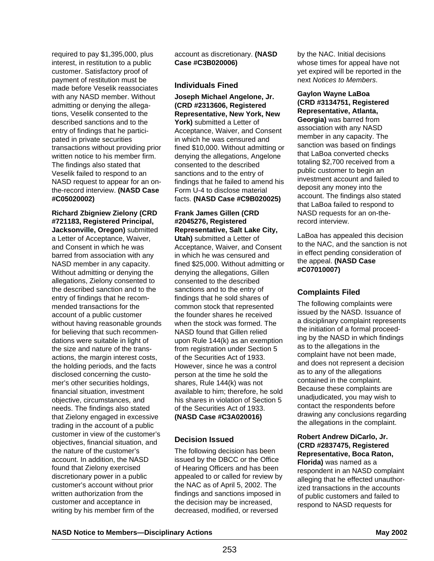required to pay \$1,395,000, plus interest, in restitution to a public customer. Satisfactory proof of payment of restitution must be made before Veselik reassociates with any NASD member. Without admitting or denying the allegations, Veselik consented to the described sanctions and to the entry of findings that he participated in private securities transactions without providing prior written notice to his member firm. The findings also stated that Veselik failed to respond to an NASD request to appear for an onthe-record interview. **(NASD Case #C05020002)**

**Richard Zbigniew Zielony (CRD #721183, Registered Principal, Jacksonville, Oregon)** submitted a Letter of Acceptance, Waiver, and Consent in which he was barred from association with any NASD member in any capacity. Without admitting or denying the allegations, Zielony consented to the described sanction and to the entry of findings that he recommended transactions for the account of a public customer without having reasonable grounds for believing that such recommendations were suitable in light of the size and nature of the transactions, the margin interest costs, the holding periods, and the facts disclosed concerning the customer's other securities holdings, financial situation, investment objective, circumstances, and needs. The findings also stated that Zielony engaged in excessive trading in the account of a public customer in view of the customer's objectives, financial situation, and the nature of the customer's account. In addition, the NASD found that Zielony exercised discretionary power in a public customer's account without prior written authorization from the customer and acceptance in writing by his member firm of the

account as discretionary. **(NASD Case #C3B020006)**

#### **Individuals Fined**

**Joseph Michael Angelone, Jr. (CRD #2313606, Registered Representative, New York, New York)** submitted a Letter of Acceptance, Waiver, and Consent in which he was censured and fined \$10,000. Without admitting or denying the allegations, Angelone consented to the described sanctions and to the entry of findings that he failed to amend his Form U-4 to disclose material facts. **(NASD Case #C9B020025)**

# **Frank James Gillen (CRD #2045276, Registered Representative, Salt Lake City,**

**Utah)** submitted a Letter of Acceptance, Waiver, and Consent in which he was censured and fined \$25,000. Without admitting or denying the allegations, Gillen consented to the described sanctions and to the entry of findings that he sold shares of common stock that represented the founder shares he received when the stock was formed. The NASD found that Gillen relied upon Rule 144(k) as an exemption from registration under Section 5 of the Securities Act of 1933. However, since he was a control person at the time he sold the shares, Rule 144(k) was not available to him; therefore, he sold his shares in violation of Section 5 of the Securities Act of 1933. **(NASD Case #C3A020016)** 

## **Decision Issued**

The following decision has been issued by the DBCC or the Office of Hearing Officers and has been appealed to or called for review by the NAC as of April 5, 2002. The findings and sanctions imposed in the decision may be increased, decreased, modified, or reversed

by the NAC. Initial decisions whose times for appeal have not yet expired will be reported in the next Notices to Members.

#### **Gaylon Wayne LaBoa (CRD #3134751, Registered Representative, Atlanta,**

**Georgia)** was barred from association with any NASD member in any capacity. The sanction was based on findings that LaBoa converted checks totaling \$2,700 received from a public customer to begin an investment account and failed to deposit any money into the account. The findings also stated that LaBoa failed to respond to NASD requests for an on-therecord interview.

LaBoa has appealed this decision to the NAC, and the sanction is not in effect pending consideration of the appeal. **(NASD Case #C07010007)**

## **Complaints Filed**

The following complaints were issued by the NASD. Issuance of a disciplinary complaint represents the initiation of a formal proceeding by the NASD in which findings as to the allegations in the complaint have not been made, and does not represent a decision as to any of the allegations contained in the complaint. Because these complaints are unadjudicated, you may wish to contact the respondents before drawing any conclusions regarding the allegations in the complaint.

**Robert Andrew DiCarlo, Jr. (CRD #2837475, Registered Representative, Boca Raton, Florida)** was named as a respondent in an NASD complaint alleging that he effected unauthorized transactions in the accounts of public customers and failed to respond to NASD requests for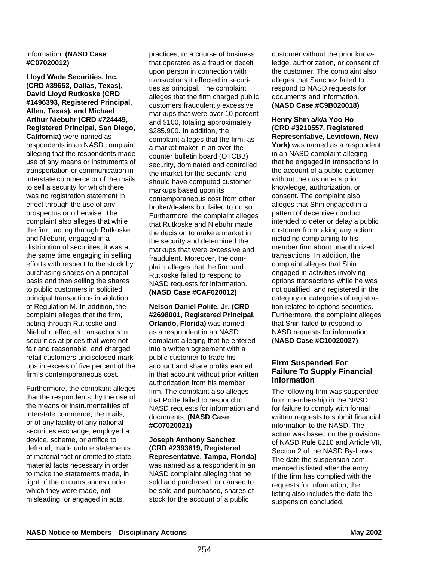#### information. **(NASD Case #C07020012)**

**Lloyd Wade Securities, Inc. (CRD #39653, Dallas, Texas), David Lloyd Rutkoske (CRD #1496393, Registered Principal, Allen, Texas), and Michael Arthur Niebuhr (CRD #724449, Registered Principal, San Diego, California)** were named as respondents in an NASD complaint alleging that the respondents made use of any means or instruments of transportation or communication in interstate commerce or of the mails to sell a security for which there was no registration statement in effect through the use of any prospectus or otherwise. The complaint also alleges that while the firm, acting through Rutkoske and Niebuhr, engaged in a distribution of securities, it was at the same time engaging in selling efforts with respect to the stock by purchasing shares on a principal basis and then selling the shares to public customers in solicited principal transactions in violation of Regulation M. In addition, the complaint alleges that the firm, acting through Rutkoske and Niebuhr, effected transactions in securities at prices that were not fair and reasonable, and charged retail customers undisclosed markups in excess of five percent of the firm's contemporaneous cost.

Furthermore, the complaint alleges that the respondents, by the use of the means or instrumentalities of interstate commerce, the mails, or of any facility of any national securities exchange, employed a device, scheme, or artifice to defraud; made untrue statements of material fact or omitted to state material facts necessary in order to make the statements made, in light of the circumstances under which they were made, not misleading; or engaged in acts,

practices, or a course of business that operated as a fraud or deceit upon person in connection with transactions it effected in securities as principal. The complaint alleges that the firm charged public customers fraudulently excessive markups that were over 10 percent and \$100, totaling approximately \$285,900. In addition, the complaint alleges that the firm, as a market maker in an over-thecounter bulletin board (OTCBB) security, dominated and controlled the market for the security, and should have computed customer markups based upon its contemporaneous cost from other broker/dealers but failed to do so. Furthermore, the complaint alleges that Rutkoske and Niebuhr made the decision to make a market in the security and determined the markups that were excessive and fraudulent. Moreover, the complaint alleges that the firm and Rutkoske failed to respond to NASD requests for information. **(NASD Case #CAF020012)**

#### **Nelson Daniel Polite, Jr. (CRD #2698001, Registered Principal, Orlando, Florida)** was named as a respondent in an NASD complaint alleging that he entered into a written agreement with a public customer to trade his account and share profits earned in that account without prior written authorization from his member firm. The complaint also alleges that Polite failed to respond to NASD requests for information and documents. **(NASD Case #C07020021)**

**Joseph Anthony Sanchez (CRD #2393619, Registered Representative, Tampa, Florida)** was named as a respondent in an NASD complaint alleging that he sold and purchased, or caused to be sold and purchased, shares of stock for the account of a public

customer without the prior knowledge, authorization, or consent of the customer. The complaint also alleges that Sanchez failed to respond to NASD requests for documents and information. **(NASD Case #C9B020018)** 

**Henry Shin a/k/a Yoo Ho (CRD #3210557, Registered Representative, Levittown, New York)** was named as a respondent in an NASD complaint alleging that he engaged in transactions in the account of a public customer without the customer's prior knowledge, authorization, or consent. The complaint also alleges that Shin engaged in a pattern of deceptive conduct intended to deter or delay a public customer from taking any action including complaining to his member firm about unauthorized transactions. In addition, the complaint alleges that Shin engaged in activities involving options transactions while he was not qualified, and registered in the category or categories of registration related to options securities. Furthermore, the complaint alleges that Shin failed to respond to NASD requests for information. **(NASD Case #C10020027)**

## **Firm Suspended For Failure To Supply Financial Information**

The following firm was suspended from membership in the NASD for failure to comply with formal written requests to submit financial information to the NASD. The action was based on the provisions of NASD Rule 8210 and Article VII, Section 2 of the NASD By-Laws. The date the suspension commenced is listed after the entry. If the firm has complied with the requests for information, the listing also includes the date the suspension concluded.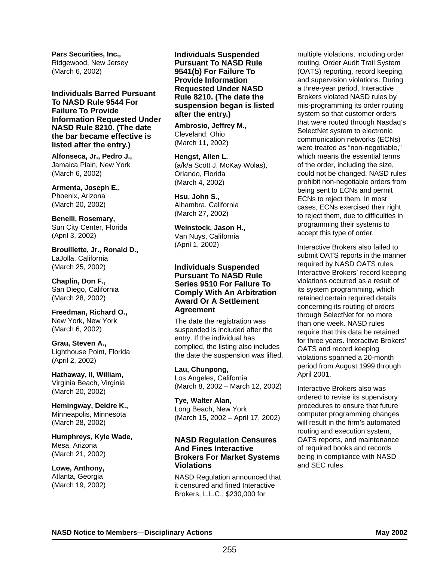**Pars Securities, Inc.,**  Ridgewood, New Jersey (March 6, 2002)

**Individuals Barred Pursuant To NASD Rule 9544 For Failure To Provide Information Requested Under NASD Rule 8210. (The date the bar became effective is listed after the entry.)**

**Alfonseca, Jr., Pedro J.,**  Jamaica Plain, New York (March 6, 2002)

**Armenta, Joseph E.,**  Phoenix, Arizona (March 20, 2002)

**Benelli, Rosemary,**  Sun City Center, Florida (April 3, 2002)

**Brouillette, Jr., Ronald D.,**  LaJolla, California (March 25, 2002)

**Chaplin, Don F.,**  San Diego, California (March 28, 2002)

**Freedman, Richard O.,**  New York, New York (March 6, 2002)

**Grau, Steven A.,**  Lighthouse Point, Florida (April 2, 2002)

**Hathaway, II, William,**  Virginia Beach, Virginia (March 20, 2002)

**Hemingway, Deidre K.,** Minneapolis, Minnesota (March 28, 2002)

**Humphreys, Kyle Wade,**  Mesa, Arizona (March 21, 2002)

**Lowe, Anthony,**  Atlanta, Georgia (March 19, 2002) **Individuals Suspended Pursuant To NASD Rule 9541(b) For Failure To Provide Information Requested Under NASD Rule 8210. (The date the suspension began is listed after the entry.)**

**Ambrosio, Jeffrey M.,**  Cleveland, Ohio (March 11, 2002)

**Hengst, Allen L.** (a/k/a Scott J. McKay Wolas), Orlando, Florida (March 4, 2002)

**Hsu, John S.,**  Alhambra, California (March 27, 2002)

**Weinstock, Jason H.,**  Van Nuys, California (April 1, 2002)

**Individuals Suspended Pursuant To NASD Rule Series 9510 For Failure To Comply With An Arbitration Award Or A Settlement Agreement** 

The date the registration was suspended is included after the entry. If the individual has complied, the listing also includes the date the suspension was lifted.

**Lau, Chunpong,**  Los Angeles, California (March 8, 2002 – March 12, 2002)

**Tye, Walter Alan,**  Long Beach, New York (March 15, 2002 – April 17, 2002)

#### **NASD Regulation Censures And Fines Interactive Brokers For Market Systems Violations**

NASD Regulation announced that it censured and fined Interactive Brokers, L.L.C., \$230,000 for

multiple violations, including order routing, Order Audit Trail System (OATS) reporting, record keeping, and supervision violations. During a three-year period, Interactive Brokers violated NASD rules by mis-programming its order routing system so that customer orders that were routed through Nasdaq's SelectNet system to electronic communication networks (ECNs) were treated as "non-negotiable," which means the essential terms of the order, including the size, could not be changed. NASD rules prohibit non-negotiable orders from being sent to ECNs and permit ECNs to reject them. In most cases, ECNs exercised their right to reject them, due to difficulties in programming their systems to accept this type of order.

Interactive Brokers also failed to submit OATS reports in the manner required by NASD OATS rules. Interactive Brokers' record keeping violations occurred as a result of its system programming, which retained certain required details concerning its routing of orders through SelectNet for no more than one week. NASD rules require that this data be retained for three years. Interactive Brokers' OATS and record keeping violations spanned a 20-month period from August 1999 through April 2001.

Interactive Brokers also was ordered to revise its supervisory procedures to ensure that future computer programming changes will result in the firm's automated routing and execution system, OATS reports, and maintenance of required books and records being in compliance with NASD and SEC rules.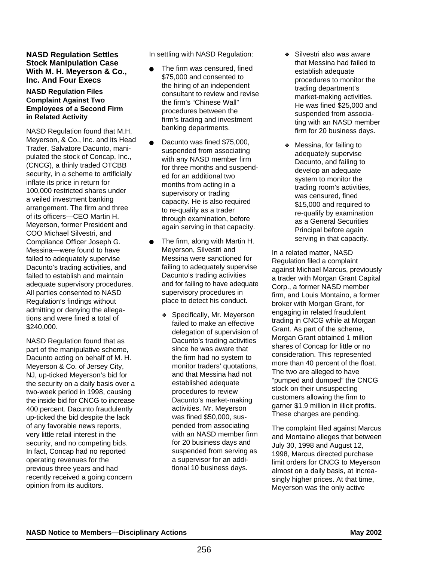#### **NASD Regulation Settles Stock Manipulation Case With M. H. Meyerson & Co., Inc. And Four Execs**

#### **NASD Regulation Files Complaint Against Two Employees of a Second Firm in Related Activity**

NASD Regulation found that M.H. Meyerson, & Co., Inc. and its Head Trader, Salvatore Dacunto, manipulated the stock of Concap, Inc., (CNCG), a thinly traded OTCBB security, in a scheme to artificially inflate its price in return for 100,000 restricted shares under a veiled investment banking arrangement. The firm and three of its officers—CEO Martin H. Meyerson, former President and COO Michael Silvestri, and Compliance Officer Joseph G. Messina—were found to have failed to adequately supervise Dacunto's trading activities, and failed to establish and maintain adequate supervisory procedures. All parties consented to NASD Regulation's findings without admitting or denying the allegations and were fined a total of \$240,000.

NASD Regulation found that as part of the manipulative scheme, Dacunto acting on behalf of M. H. Meyerson & Co. of Jersey City, NJ, up-ticked Meyerson's bid for the security on a daily basis over a two-week period in 1998, causing the inside bid for CNCG to increase 400 percent. Dacunto fraudulently up-ticked the bid despite the lack of any favorable news reports, very little retail interest in the security, and no competing bids. In fact, Concap had no reported operating revenues for the previous three years and had recently received a going concern opinion from its auditors.

In settling with NASD Regulation:

- The firm was censured, fined \$75,000 and consented to the hiring of an independent consultant to review and revise the firm's "Chinese Wall" procedures between the firm's trading and investment banking departments.
- Dacunto was fined \$75,000. suspended from associating with any NASD member firm for three months and suspended for an additional two months from acting in a supervisory or trading capacity. He is also required to re-qualify as a trader through examination, before again serving in that capacity.
- The firm, along with Martin H. Meyerson, Silvestri and Messina were sanctioned for failing to adequately supervise Dacunto's trading activities and for failing to have adequate supervisory procedures in place to detect his conduct.
	- ❖ Specifically, Mr. Meyerson failed to make an effective delegation of supervision of Dacunto's trading activities since he was aware that the firm had no system to monitor traders' quotations, and that Messina had not established adequate procedures to review Dacunto's market-making activities. Mr. Meyerson was fined \$50,000, suspended from associating with an NASD member firm for 20 business days and suspended from serving as a supervisor for an additional 10 business days.
- ❖ Silvestri also was aware that Messina had failed to establish adequate procedures to monitor the trading department's market-making activities. He was fined \$25,000 and suspended from associating with an NASD member firm for 20 business days.
- ❖ Messina, for failing to adequately supervise Dacunto, and failing to develop an adequate system to monitor the trading room's activities, was censured, fined \$15,000 and required to re-qualify by examination as a General Securities Principal before again serving in that capacity.

In a related matter, NASD Regulation filed a complaint against Michael Marcus, previously a trader with Morgan Grant Capital Corp., a former NASD member firm, and Louis Montaino, a former broker with Morgan Grant, for engaging in related fraudulent trading in CNCG while at Morgan Grant. As part of the scheme, Morgan Grant obtained 1 million shares of Concap for little or no consideration. This represented more than 40 percent of the float. The two are alleged to have "pumped and dumped" the CNCG stock on their unsuspecting customers allowing the firm to garner \$1.9 million in illicit profits. These charges are pending.

The complaint filed against Marcus and Montaino alleges that between July 30, 1998 and August 12, 1998, Marcus directed purchase limit orders for CNCG to Meyerson almost on a daily basis, at increasingly higher prices. At that time, Meyerson was the only active